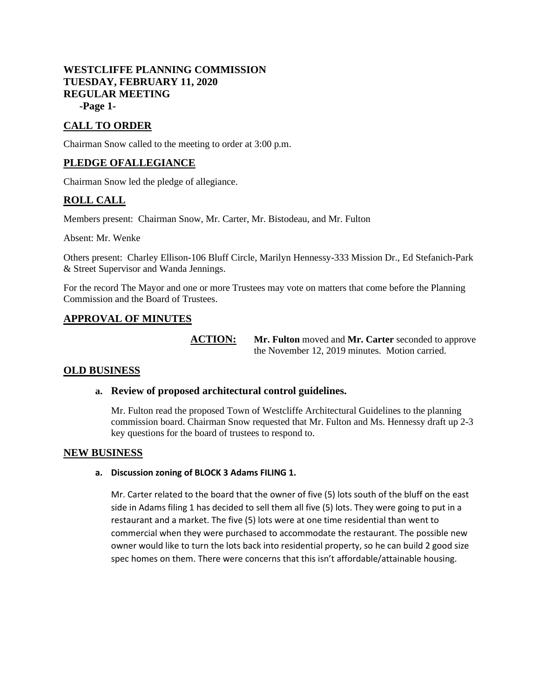# **WESTCLIFFE PLANNING COMMISSION TUESDAY, FEBRUARY 11, 2020 REGULAR MEETING**

**-Page 1-**

# **CALL TO ORDER**

Chairman Snow called to the meeting to order at 3:00 p.m.

# **PLEDGE OFALLEGIANCE**

Chairman Snow led the pledge of allegiance.

## **ROLL CALL**

Members present: Chairman Snow, Mr. Carter, Mr. Bistodeau, and Mr. Fulton

Absent: Mr. Wenke

Others present: Charley Ellison-106 Bluff Circle, Marilyn Hennessy-333 Mission Dr., Ed Stefanich-Park & Street Supervisor and Wanda Jennings.

For the record The Mayor and one or more Trustees may vote on matters that come before the Planning Commission and the Board of Trustees.

## **APPROVAL OF MINUTES**

**ACTION: Mr. Fulton** moved and **Mr. Carter** seconded to approve the November 12, 2019 minutes. Motion carried.

### **OLD BUSINESS**

### **a. Review of proposed architectural control guidelines.**

Mr. Fulton read the proposed Town of Westcliffe Architectural Guidelines to the planning commission board. Chairman Snow requested that Mr. Fulton and Ms. Hennessy draft up 2-3 key questions for the board of trustees to respond to.

### **NEW BUSINESS**

#### **a. Discussion zoning of BLOCK 3 Adams FILING 1.**

Mr. Carter related to the board that the owner of five (5) lots south of the bluff on the east side in Adams filing 1 has decided to sell them all five (5) lots. They were going to put in a restaurant and a market. The five (5) lots were at one time residential than went to commercial when they were purchased to accommodate the restaurant. The possible new owner would like to turn the lots back into residential property, so he can build 2 good size spec homes on them. There were concerns that this isn't affordable/attainable housing.